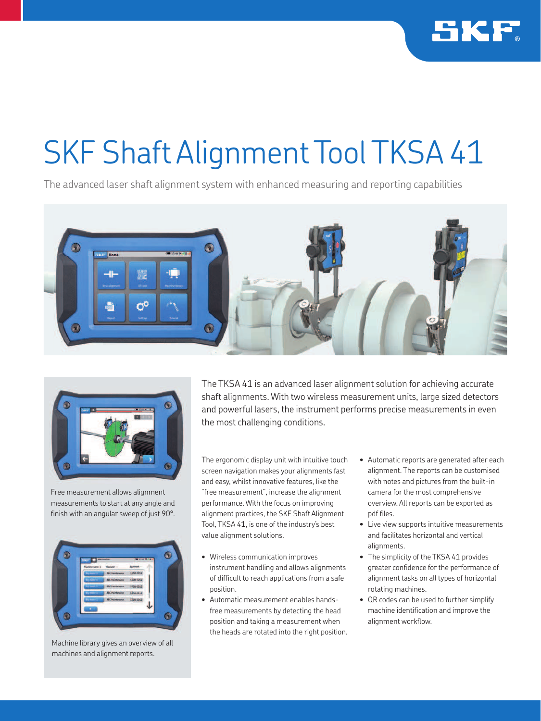

## SKF Shaft Alignment Tool TKSA 41

The advanced laser shaft alignment system with enhanced measuring and reporting capabilities





Free measurement allows alignment measurements to start at any angle and finish with an angular sweep of just 90°.



Machine library gives an overview of all machines and alignment reports.

The TKSA 41 is an advanced laser alignment solution for achieving accurate shaft alignments. With two wireless measurement units, large sized detectors and powerful lasers, the instrument performs precise measurements in even the most challenging conditions.

The ergonomic display unit with intuitive touch screen navigation makes your alignments fast and easy, whilst innovative features, like the "free measurement", increase the alignment performance. With the focus on improving alignment practices, the SKF Shaft Alignment Tool, TKSA 41, is one of the industry's best value alignment solutions.

- Wireless communication improves instrument handling and allows alignments of difficult to reach applications from a safe position.
- Automatic measurement enables handsfree measurements by detecting the head position and taking a measurement when the heads are rotated into the right position.
- Automatic reports are generated after each alignment. The reports can be customised with notes and pictures from the built-in camera for the most comprehensive overview. All reports can be exported as pdf files.
- Live view supports intuitive measurements and facilitates horizontal and vertical alignments.
- The simplicity of the TKSA 41 provides greater confidence for the performance of alignment tasks on all types of horizontal rotating machines.
- QR codes can be used to further simplify machine identification and improve the alignment workflow.